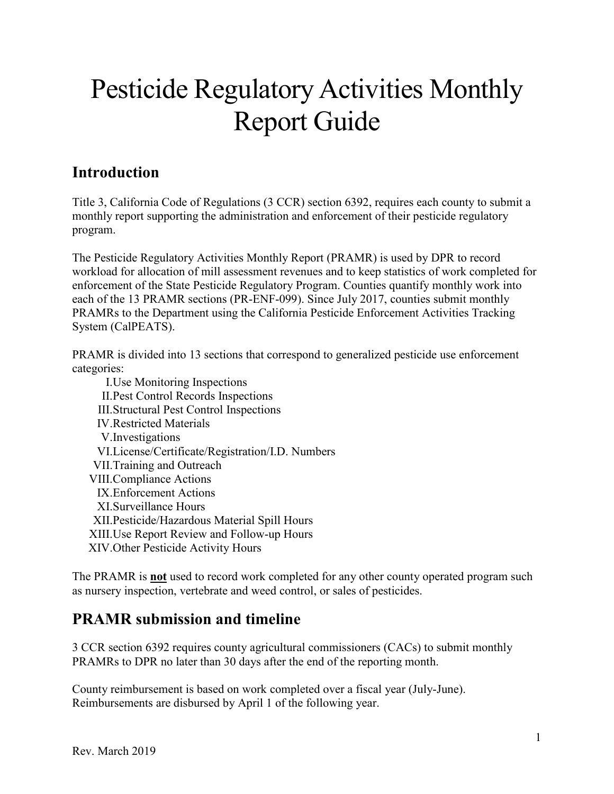# Pesticide Regulatory Activities Monthly Report Guide

## **Introduction**

Title 3, California Code of Regulations (3 CCR) section 6392, requires each county to submit a monthly report supporting the administration and enforcement of their pesticide regulatory program.

 The Pesticide Regulatory Activities Monthly Report (PRAMR) is used by DPR to record enforcement of the State Pesticide Regulatory Program. Counties quantify monthly work into workload for allocation of mill assessment revenues and to keep statistics of work completed for each of the 13 PRAMR sections (PR-ENF-099). Since July 2017, counties submit monthly PRAMRs to the Department using the California Pesticide Enforcement Activities Tracking System (CalPEATS).

 PRAMR is divided into 13 sections that correspond to generalized pesticide use enforcement categories:

 II.Pest Control Records Inspections I.Use Monitoring Inspections III.Structural Pest Control Inspections IV.Restricted Materials V.Investigations VI.License/Certificate/Registration/I.D. Numbers VII.Training and Outreach VIII.Compliance Actions IX.Enforcement Actions XI.Surveillance Hours XII.Pesticide/Hazardous Material Spill Hours XIII.Use Report Review and Follow-up Hours XIV.Other Pesticide Activity Hours

The PRAMR is **not** used to record work completed for any other county operated program such as nursery inspection, vertebrate and weed control, or sales of pesticides.

### **PRAMR submission and timeline**

3 CCR section 6392 requires county agricultural commissioners (CACs) to submit monthly PRAMRs to DPR no later than 30 days after the end of the reporting month.

 Reimbursements are disbursed by April 1 of the following year. County reimbursement is based on work completed over a fiscal year (July-June).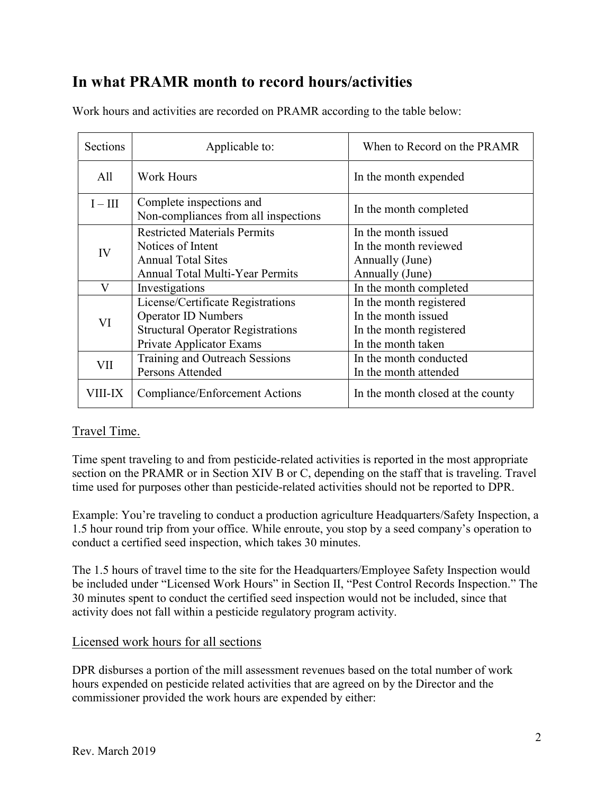### **In what PRAMR month to record hours/activities**

| Sections  | Applicable to:                                                   | When to Record on the PRAMR       |
|-----------|------------------------------------------------------------------|-----------------------------------|
| All       | <b>Work Hours</b>                                                | In the month expended             |
| $I - III$ | Complete inspections and<br>Non-compliances from all inspections | In the month completed            |
| IV        | <b>Restricted Materials Permits</b>                              | In the month issued               |
|           | Notices of Intent                                                | In the month reviewed             |
|           | <b>Annual Total Sites</b>                                        | Annually (June)                   |
|           | <b>Annual Total Multi-Year Permits</b>                           | Annually (June)                   |
| V         | Investigations                                                   | In the month completed            |
| VI        | License/Certificate Registrations                                | In the month registered           |
|           | <b>Operator ID Numbers</b>                                       | In the month issued               |
|           | <b>Structural Operator Registrations</b>                         | In the month registered           |
|           | Private Applicator Exams                                         | In the month taken                |
| VII       | Training and Outreach Sessions                                   | In the month conducted            |
|           | Persons Attended                                                 | In the month attended             |
| VIII-IX   | Compliance/Enforcement Actions                                   | In the month closed at the county |

Work hours and activities are recorded on PRAMR according to the table below:

#### Travel Time.

Time spent traveling to and from pesticide-related activities is reported in the most appropriate section on the PRAMR or in Section XIV B or C, depending on the staff that is traveling. Travel time used for purposes other than pesticide-related activities should not be reported to DPR.

Example: You're traveling to conduct a production agriculture Headquarters/Safety Inspection, a 1.5 hour round trip from your office. While enroute, you stop by a seed company's operation to conduct a certified seed inspection, which takes 30 minutes.

The 1.5 hours of travel time to the site for the Headquarters/Employee Safety Inspection would be included under "Licensed Work Hours" in Section II, "Pest Control Records Inspection." The 30 minutes spent to conduct the certified seed inspection would not be included, since that activity does not fall within a pesticide regulatory program activity.

#### Licensed work hours for all sections

 commissioner provided the work hours are expended by either: DPR disburses a portion of the mill assessment revenues based on the total number of work hours expended on pesticide related activities that are agreed on by the Director and the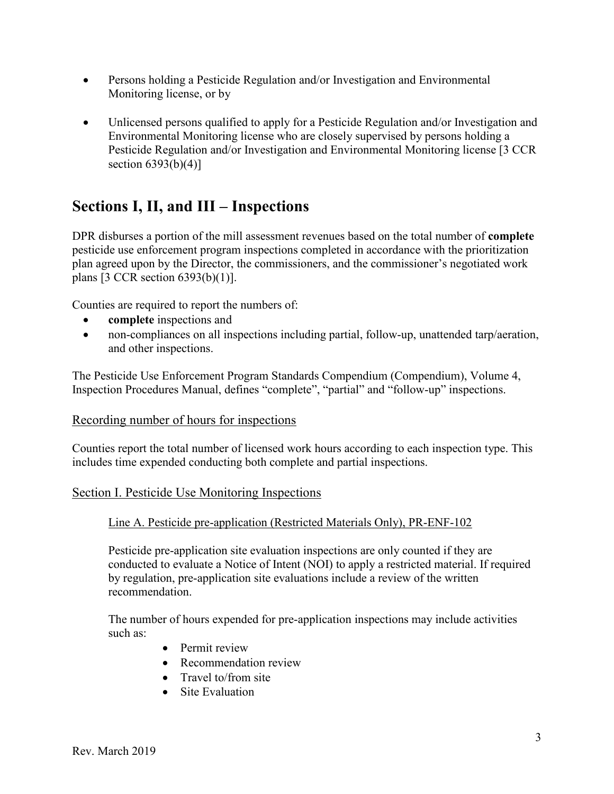- Persons holding a Pesticide Regulation and/or Investigation and Environmental Monitoring license, or by
- Environmental Monitoring license who are closely supervised by persons holding a • Unlicensed persons qualified to apply for a Pesticide Regulation and/or Investigation and Pesticide Regulation and/or Investigation and Environmental Monitoring license [3 CCR section  $6393(b)(4)$ ]

### **Sections I, II, and III – Inspections**

 DPR disburses a portion of the mill assessment revenues based on the total number of **complete**  plan agreed upon by the Director, the commissioners, and the commissioner's negotiated work pesticide use enforcement program inspections completed in accordance with the prioritization plans [3 CCR section 6393(b)(1)].

Counties are required to report the numbers of:

- **complete** inspections and
- non-compliances on all inspections including partial, follow-up, unattended tarp/aeration, and other inspections.

 Inspection Procedures Manual, defines "complete", "partial" and "follow-up" inspections. The Pesticide Use Enforcement Program Standards Compendium (Compendium), Volume 4,

#### Recording number of hours for inspections

Counties report the total number of licensed work hours according to each inspection type. This includes time expended conducting both complete and partial inspections.

#### Section I. Pesticide Use Monitoring Inspections

#### Line A. Pesticide pre-application (Restricted Materials Only), PR-ENF-102

Pesticide pre-application site evaluation inspections are only counted if they are conducted to evaluate a Notice of Intent (NOI) to apply a restricted material. If required by regulation, pre-application site evaluations include a review of the written recommendation.

The number of hours expended for pre-application inspections may include activities such as:

- Permit review
- Recommendation review
- Travel to/from site
- Site Evaluation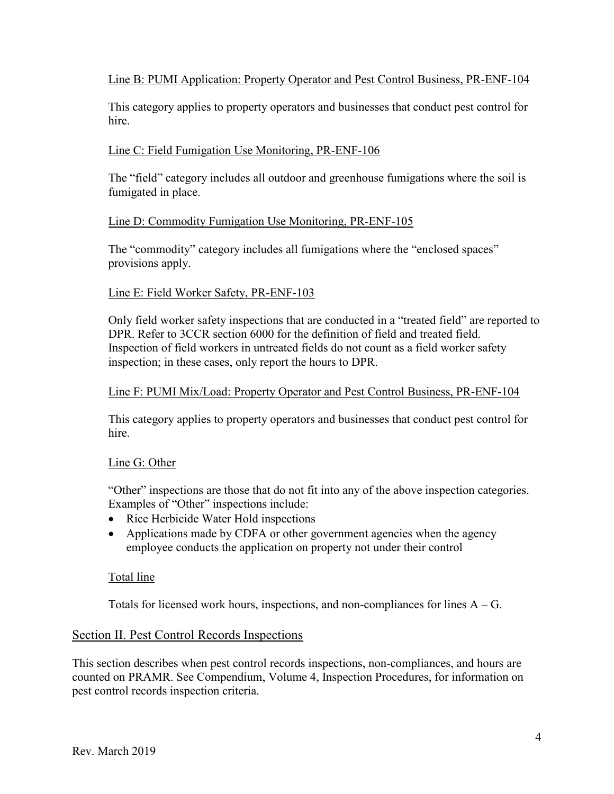Line B: PUMI Application: Property Operator and Pest Control Business, PR-ENF-104

This category applies to property operators and businesses that conduct pest control for hire.

#### Line C: Field Fumigation Use Monitoring, PR-ENF-106

The "field" category includes all outdoor and greenhouse fumigations where the soil is fumigated in place.

#### Line D: Commodity Fumigation Use Monitoring, PR-ENF-105

The "commodity" category includes all fumigations where the "enclosed spaces" provisions apply.

#### Line E: Field Worker Safety, PR-ENF-103

Only field worker safety inspections that are conducted in a "treated field" are reported to DPR. Refer to 3CCR section 6000 for the definition of field and treated field. Inspection of field workers in untreated fields do not count as a field worker safety inspection; in these cases, only report the hours to DPR.

#### Line F: PUMI Mix/Load: Property Operator and Pest Control Business, PR-ENF-104

This category applies to property operators and businesses that conduct pest control for hire.

#### Line G: Other

"Other" inspections are those that do not fit into any of the above inspection categories. Examples of "Other" inspections include:

- Rice Herbicide Water Hold inspections
- Applications made by CDFA or other government agencies when the agency employee conducts the application on property not under their control

#### Total line

Totals for licensed work hours, inspections, and non-compliances for lines A – G.

#### Section II. Pest Control Records Inspections

 This section describes when pest control records inspections, non-compliances, and hours are counted on PRAMR. See Compendium, Volume 4, Inspection Procedures, for information on pest control records inspection criteria.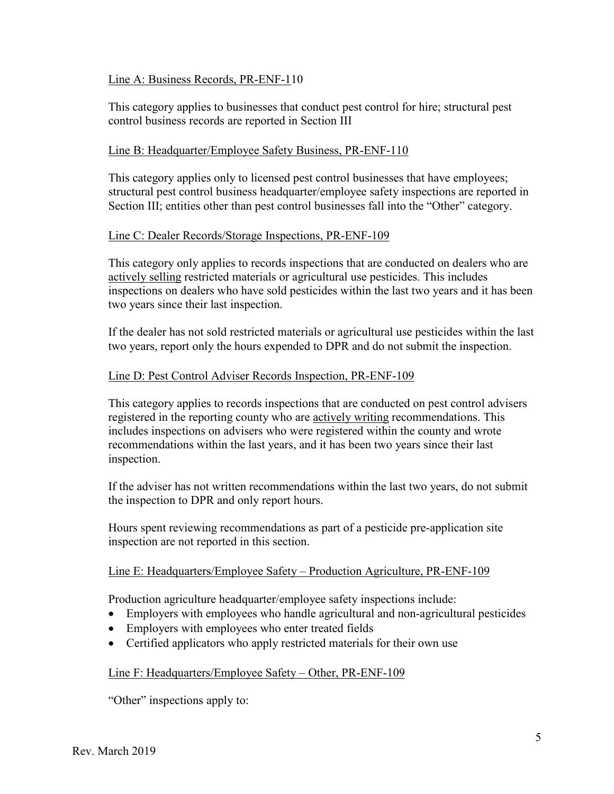#### Line A: Business Records, PR-ENF-110

This category applies to businesses that conduct pest control for hire; structural pest control business records are reported in Section III

#### Line B: Headquarter/Employee Safety Business, PR-ENF-110

This category applies only to licensed pest control businesses that have employees; structural pest control business headquarter/employee safety inspections are reported in Section III; entities other than pest control businesses fall into the "Other" category.

#### Line C: Dealer Records/Storage Inspections, PR-ENF-109

This category only applies to records inspections that are conducted on dealers who are actively selling restricted materials or agricultural use pesticides. This includes inspections on dealers who have sold pesticides within the last two years and it has been two years since their last inspection.

If the dealer has not sold restricted materials or agricultural use pesticides within the last two years, report only the hours expended to DPR and do not submit the inspection.

#### Line D: Pest Control Adviser Records Inspection, PR-ENF-109

This category applies to records inspections that are conducted on pest control advisers registered in the reporting county who are actively writing recommendations. This includes inspections on advisers who were registered within the county and wrote recommendations within the last years, and it has been two years since their last inspection.

 If the adviser has not written recommendations within the last two years, do not submit the inspection to DPR and only report hours.

Hours spent reviewing recommendations as part of a pesticide pre-application site inspection are not reported in this section.

#### Line E: Headquarters/Employee Safety – Production Agriculture, PR-ENF-109

Production agriculture headquarter/employee safety inspections include:

- Employers with employees who handle agricultural and non-agricultural pesticides
- Employers with employees who enter treated fields
- Certified applicators who apply restricted materials for their own use

#### Line F: Headquarters/Employee Safety – Other, PR-ENF-109

"Other" inspections apply to: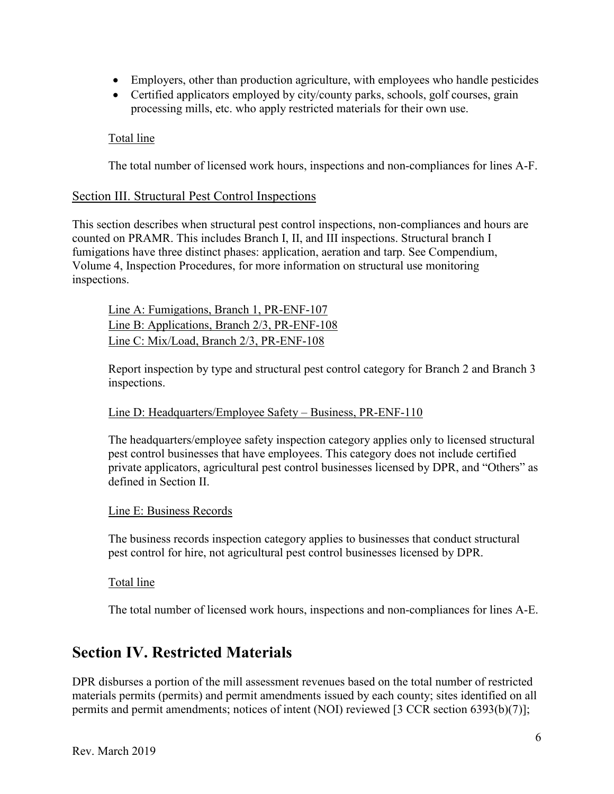- Employers, other than production agriculture, with employees who handle pesticides
- Certified applicators employed by city/county parks, schools, golf courses, grain processing mills, etc. who apply restricted materials for their own use.

#### Total line

The total number of licensed work hours, inspections and non-compliances for lines A-F.

#### Section III. Structural Pest Control Inspections

 counted on PRAMR. This includes Branch I, II, and III inspections. Structural branch I Volume 4, Inspection Procedures, for more information on structural use monitoring This section describes when structural pest control inspections, non-compliances and hours are fumigations have three distinct phases: application, aeration and tarp. See Compendium, inspections.

Line A: Fumigations, Branch 1, PR-ENF-107 Line B: Applications, Branch 2/3, PR-ENF-108 Line C: Mix/Load, Branch 2/3, PR-ENF-108

 Report inspection by type and structural pest control category for Branch 2 and Branch 3 inspections.

#### Line D: Headquarters/Employee Safety – Business, PR-ENF-110

 private applicators, agricultural pest control businesses licensed by DPR, and "Others" as The headquarters/employee safety inspection category applies only to licensed structural pest control businesses that have employees. This category does not include certified defined in Section II.

#### Line E: Business Records

The business records inspection category applies to businesses that conduct structural pest control for hire, not agricultural pest control businesses licensed by DPR.

#### Total line

The total number of licensed work hours, inspections and non-compliances for lines A-E.

### **Section IV. Restricted Materials**

 permits and permit amendments; notices of intent (NOI) reviewed [3 CCR section 6393(b)(7)]; DPR disburses a portion of the mill assessment revenues based on the total number of restricted materials permits (permits) and permit amendments issued by each county; sites identified on all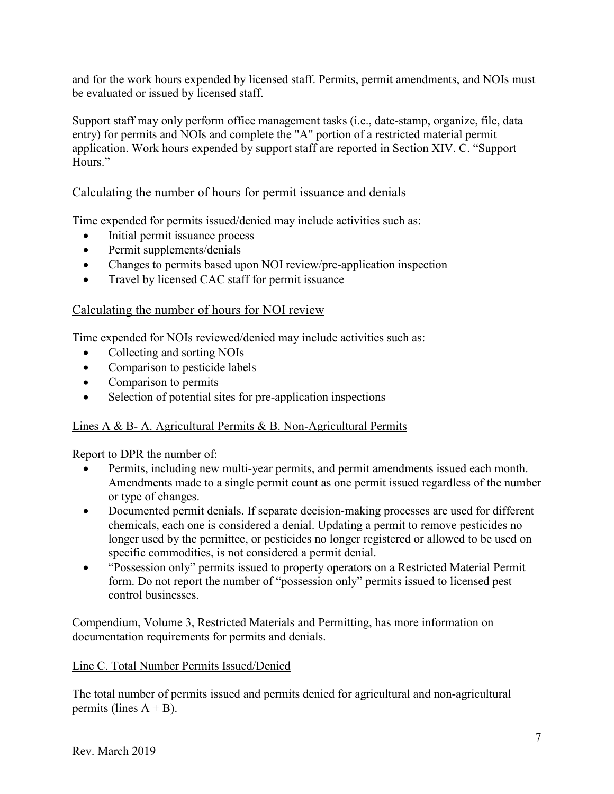and for the work hours expended by licensed staff. Permits, permit amendments, and NOIs must be evaluated or issued by licensed staff.

 entry) for permits and NOIs and complete the "A" portion of a restricted material permit application. Work hours expended by support staff are reported in Section XIV. C. "Support Support staff may only perform office management tasks (i.e., date-stamp, organize, file, data Hours."

#### Calculating the number of hours for permit issuance and denials

Time expended for permits issued/denied may include activities such as:

- Initial permit issuance process
- $\bullet$ Permit supplements/denials
- Changes to permits based upon NOI review/pre-application inspection
- Travel by licensed CAC staff for permit issuance

#### Calculating the number of hours for NOI review

Time expended for NOIs reviewed/denied may include activities such as:

- Collecting and sorting NOIs
- $\bullet$ Comparison to pesticide labels
- Comparison to permits
- Selection of potential sites for pre-application inspections

#### Lines A & B- A. Agricultural Permits & B. Non-Agricultural Permits

Report to DPR the number of:

- $\bullet$ Permits, including new multi-year permits, and permit amendments issued each month. Amendments made to a single permit count as one permit issued regardless of the number or type of changes.
- Documented permit denials. If separate decision-making processes are used for different chemicals, each one is considered a denial. Updating a permit to remove pesticides no longer used by the permittee, or pesticides no longer registered or allowed to be used on specific commodities, is not considered a permit denial.
- "Possession only" permits issued to property operators on a Restricted Material Permit form. Do not report the number of "possession only" permits issued to licensed pest control businesses.

Compendium, Volume 3, Restricted Materials and Permitting, has more information on documentation requirements for permits and denials.

#### Line C. Total Number Permits Issued/Denied

The total number of permits issued and permits denied for agricultural and non-agricultural permits (lines  $A + B$ ).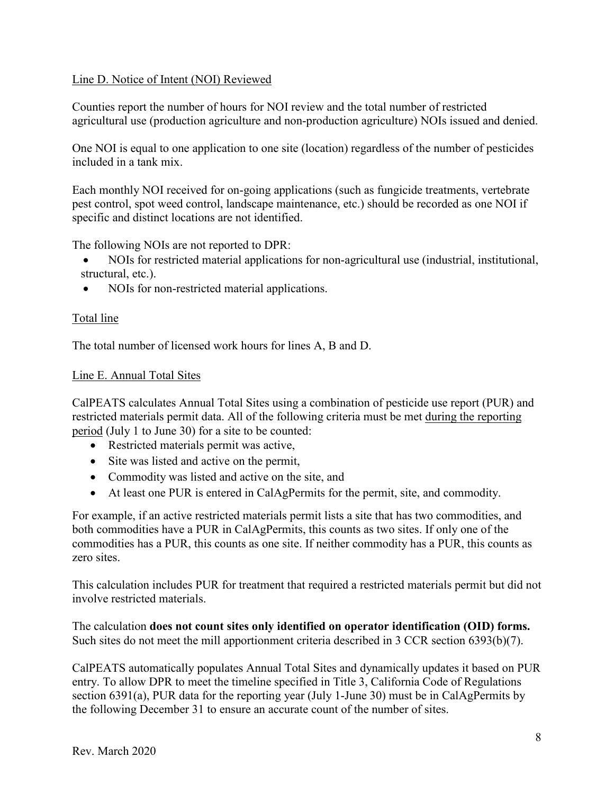#### Line D. Notice of Intent (NOI) Reviewed

Counties report the number of hours for NOI review and the total number of restricted agricultural use (production agriculture and non-production agriculture) NOIs issued and denied.

One NOI is equal to one application to one site (location) regardless of the number of pesticides included in a tank mix.

 pest control, spot weed control, landscape maintenance, etc.) should be recorded as one NOI if Each monthly NOI received for on-going applications (such as fungicide treatments, vertebrate specific and distinct locations are not identified.

The following NOIs are not reported to DPR:

- NOIs for restricted material applications for non-agricultural use (industrial, institutional, structural, etc.).
- $\bullet$ NOIs for non-restricted material applications.

#### Total line

The total number of licensed work hours for lines A, B and D.

#### Line E. Annual Total Sites

restricted materials permit data. All of the following criteria must be met during the reporting period (July 1 to June 30) for a site to be counted: CalPEATS calculates Annual Total Sites using a combination of pesticide use report (PUR) and

- Restricted materials permit was active,
- Site was listed and active on the permit,
- Commodity was listed and active on the site, and
- At least one PUR is entered in CalAgPermits for the permit, site, and commodity.

For example, if an active restricted materials permit lists a site that has two commodities, and both commodities have a PUR in CalAgPermits, this counts as two sites. If only one of the commodities has a PUR, this counts as one site. If neither commodity has a PUR, this counts as zero sites.

This calculation includes PUR for treatment that required a restricted materials permit but did not involve restricted materials.

The calculation **does not count sites only identified on operator identification (OID) forms.**  Such sites do not meet the mill apportionment criteria described in 3 CCR section 6393(b)(7).

CalPEATS automatically populates Annual Total Sites and dynamically updates it based on PUR entry. To allow DPR to meet the timeline specified in Title 3, California Code of Regulations section 6391(a), PUR data for the reporting year (July 1-June 30) must be in CalAgPermits by the following December 31 to ensure an accurate count of the number of sites.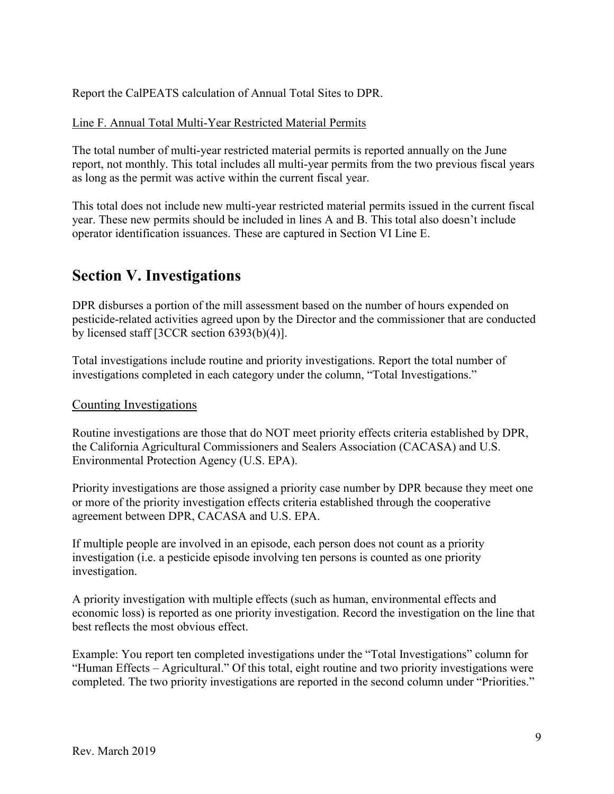Report the CalPEATS calculation of Annual Total Sites to DPR.

#### Line F. Annual Total Multi-Year Restricted Material Permits

The total number of multi-year restricted material permits is reported annually on the June report, not monthly. This total includes all multi-year permits from the two previous fiscal years as long as the permit was active within the current fiscal year.

 operator identification issuances. These are captured in Section VI Line E. This total does not include new multi-year restricted material permits issued in the current fiscal year. These new permits should be included in lines A and B. This total also doesn't include

### **Section V. Investigations**

DPR disburses a portion of the mill assessment based on the number of hours expended on pesticide-related activities agreed upon by the Director and the commissioner that are conducted by licensed staff [3CCR section 6393(b)(4)].

investigations completed in each category under the column, "Total Investigations."<br>Counting Investigations Total investigations include routine and priority investigations. Report the total number of

Routine investigations are those that do NOT meet priority effects criteria established by DPR, the California Agricultural Commissioners and Sealers Association (CACASA) and U.S. Environmental Protection Agency (U.S. EPA).

 or more of the priority investigation effects criteria established through the cooperative Priority investigations are those assigned a priority case number by DPR because they meet one agreement between DPR, CACASA and U.S. EPA.

If multiple people are involved in an episode, each person does not count as a priority investigation (i.e. a pesticide episode involving ten persons is counted as one priority investigation.

A priority investigation with multiple effects (such as human, environmental effects and economic loss) is reported as one priority investigation. Record the investigation on the line that best reflects the most obvious effect.

Example: You report ten completed investigations under the "Total Investigations" column for "Human Effects – Agricultural." Of this total, eight routine and two priority investigations were completed. The two priority investigations are reported in the second column under "Priorities."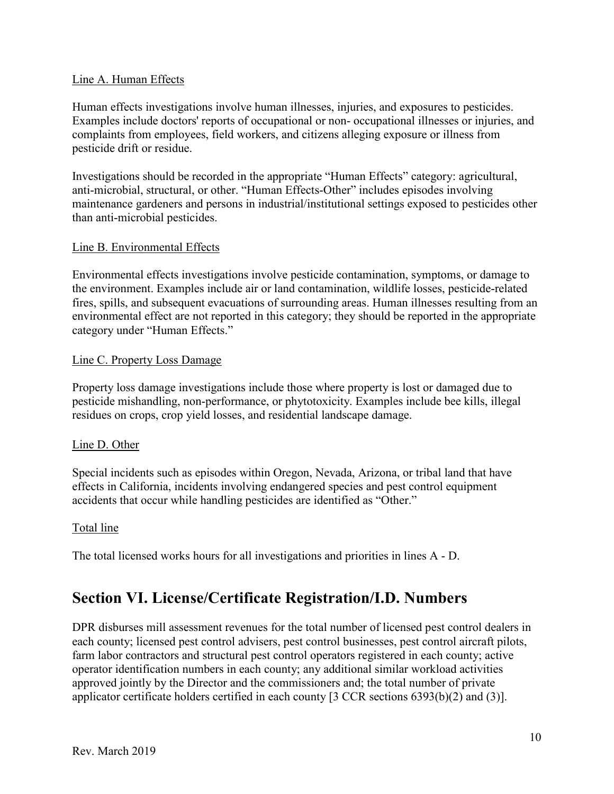#### Line A. Human Effects

pesticide drift or residue. Human effects investigations involve human illnesses, injuries, and exposures to pesticides. Examples include doctors' reports of occupational or non- occupational illnesses or injuries, and complaints from employees, field workers, and citizens alleging exposure or illness from

Investigations should be recorded in the appropriate "Human Effects" category: agricultural, anti-microbial, structural, or other. "Human Effects-Other" includes episodes involving maintenance gardeners and persons in industrial/institutional settings exposed to pesticides other than anti-microbial pesticides.

#### Line B. Environmental Effects

Environmental effects investigations involve pesticide contamination, symptoms, or damage to the environment. Examples include air or land contamination, wildlife losses, pesticide-related fires, spills, and subsequent evacuations of surrounding areas. Human illnesses resulting from an environmental effect are not reported in this category; they should be reported in the appropriate category under "Human Effects."

#### Line C. Property Loss Damage

Property loss damage investigations include those where property is lost or damaged due to pesticide mishandling, non-performance, or phytotoxicity. Examples include bee kills, illegal residues on crops, crop yield losses, and residential landscape damage.

#### Line D. Other

Special incidents such as episodes within Oregon, Nevada, Arizona, or tribal land that have effects in California, incidents involving endangered species and pest control equipment accidents that occur while handling pesticides are identified as "Other."

#### Total line

The total licensed works hours for all investigations and priorities in lines A - D.

### **Section VI. License/Certificate Registration/I.D. Numbers**

 approved jointly by the Director and the commissioners and; the total number of private applicator certificate holders certified in each county [3 CCR sections 6393(b)(2) and (3)]. DPR disburses mill assessment revenues for the total number of licensed pest control dealers in each county; licensed pest control advisers, pest control businesses, pest control aircraft pilots, farm labor contractors and structural pest control operators registered in each county; active operator identification numbers in each county; any additional similar workload activities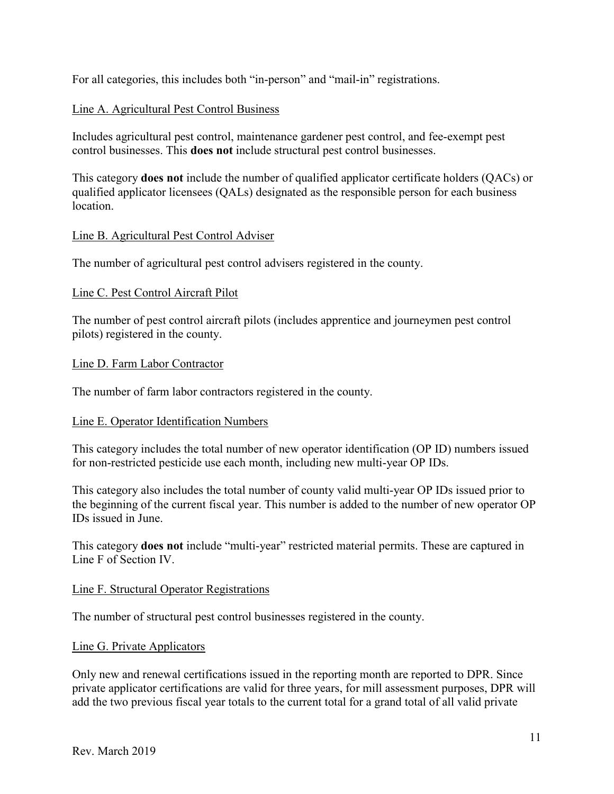For all categories, this includes both "in-person" and "mail-in" registrations.

#### Line A. Agricultural Pest Control Business

Includes agricultural pest control, maintenance gardener pest control, and fee-exempt pest control businesses. This **does not** include structural pest control businesses.

This category **does not** include the number of qualified applicator certificate holders (QACs) or qualified applicator licensees (QALs) designated as the responsible person for each business location.

#### Line B. Agricultural Pest Control Adviser

The number of agricultural pest control advisers registered in the county.

#### Line C. Pest Control Aircraft Pilot

The number of pest control aircraft pilots (includes apprentice and journeymen pest control pilots) registered in the county.

#### Line D. Farm Labor Contractor

The number of farm labor contractors registered in the county.

#### Line E. Operator Identification Numbers

This category includes the total number of new operator identification (OP ID) numbers issued for non-restricted pesticide use each month, including new multi-year OP IDs.

This category also includes the total number of county valid multi-year OP IDs issued prior to the beginning of the current fiscal year. This number is added to the number of new operator OP IDs issued in June.

 This category **does not** include "multi-year" restricted material permits. These are captured in Line F of Section IV.

#### Line F. Structural Operator Registrations

The number of structural pest control businesses registered in the county.

#### Line G. Private Applicators

Only new and renewal certifications issued in the reporting month are reported to DPR. Since private applicator certifications are valid for three years, for mill assessment purposes, DPR will add the two previous fiscal year totals to the current total for a grand total of all valid private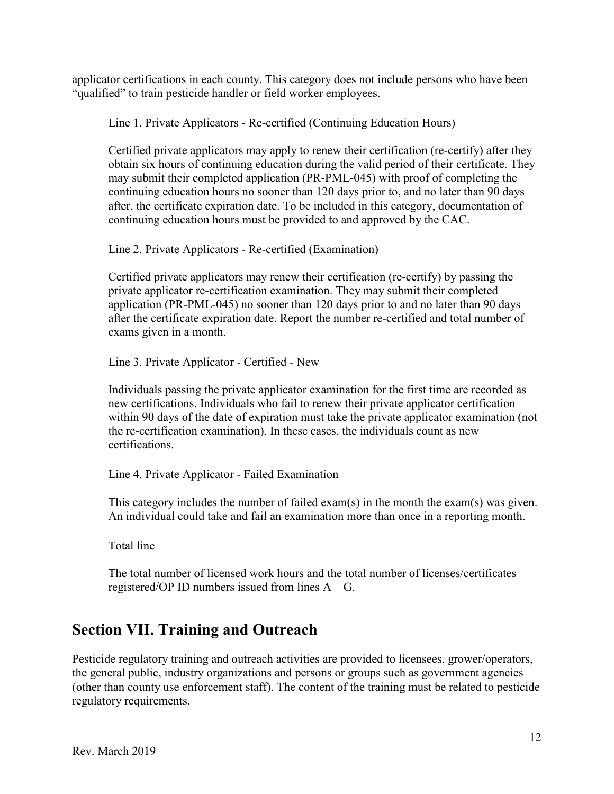applicator certifications in each county. This category does not include persons who have been "qualified" to train pesticide handler or field worker employees.

Line 1. Private Applicators - Re-certified (Continuing Education Hours)

Certified private applicators may apply to renew their certification (re-certify) after they obtain six hours of continuing education during the valid period of their certificate. They may submit their completed application (PR-PML-045) with proof of completing the continuing education hours no sooner than 120 days prior to, and no later than 90 days after, the certificate expiration date. To be included in this category, documentation of continuing education hours must be provided to and approved by the CAC.

Line 2. Private Applicators - Re-certified (Examination)

Certified private applicators may renew their certification (re-certify) by passing the private applicator re-certification examination. They may submit their completed application (PR-PML-045) no sooner than 120 days prior to and no later than 90 days after the certificate expiration date. Report the number re-certified and total number of exams given in a month.

Line 3. Private Applicator - Certified - New

 Individuals passing the private applicator examination for the first time are recorded as new certifications. Individuals who fail to renew their private applicator certification within 90 days of the date of expiration must take the private applicator examination (not the re-certification examination). In these cases, the individuals count as new certifications.

Line 4. Private Applicator - Failed Examination

 This category includes the number of failed exam(s) in the month the exam(s) was given. An individual could take and fail an examination more than once in a reporting month.

Total line

registered/OP ID numbers issued from lines  $A - G$ . The total number of licensed work hours and the total number of licenses/certificates

### **Section VII. Training and Outreach**

Pesticide regulatory training and outreach activities are provided to licensees, grower/operators, the general public, industry organizations and persons or groups such as government agencies (other than county use enforcement staff). The content of the training must be related to pesticide regulatory requirements.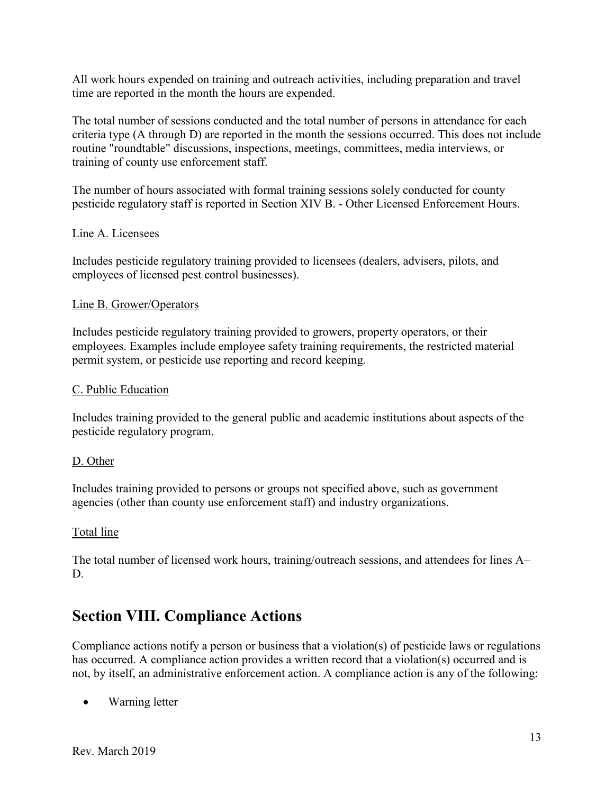All work hours expended on training and outreach activities, including preparation and travel time are reported in the month the hours are expended.

The total number of sessions conducted and the total number of persons in attendance for each criteria type (A through D) are reported in the month the sessions occurred. This does not include routine "roundtable" discussions, inspections, meetings, committees, media interviews, or training of county use enforcement staff.

 The number of hours associated with formal training sessions solely conducted for county pesticide regulatory staff is reported in Section XIV B. - Other Licensed Enforcement Hours.

#### Line A. Licensees

Includes pesticide regulatory training provided to licensees (dealers, advisers, pilots, and employees of licensed pest control businesses).

#### Line B. Grower/Operators

Includes pesticide regulatory training provided to growers, property operators, or their employees. Examples include employee safety training requirements, the restricted material permit system, or pesticide use reporting and record keeping.

#### C. Public Education

Includes training provided to the general public and academic institutions about aspects of the pesticide regulatory program.

#### D. Other

Includes training provided to persons or groups not specified above, such as government agencies (other than county use enforcement staff) and industry organizations.

#### Total line

The total number of licensed work hours, training/outreach sessions, and attendees for lines A– D.

### **Section VIII. Compliance Actions**

Compliance actions notify a person or business that a violation(s) of pesticide laws or regulations has occurred. A compliance action provides a written record that a violation(s) occurred and is not, by itself, an administrative enforcement action. A compliance action is any of the following:

• Warning letter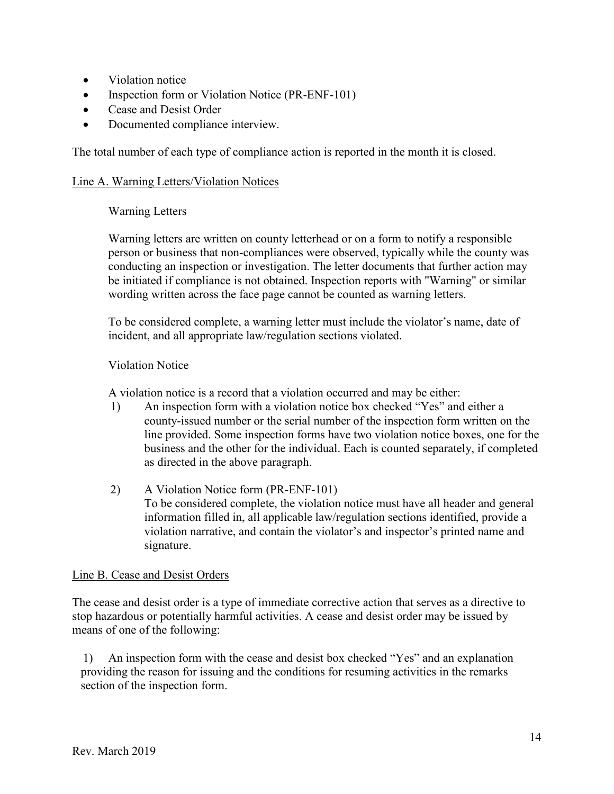- $\bullet$ Violation notice
- Inspection form or Violation Notice (PR-ENF-101)
- Cease and Desist Order
- Documented compliance interview.

The total number of each type of compliance action is reported in the month it is closed.

#### Line A. Warning Letters/Violation Notices

#### Warning Letters

 Warning letters are written on county letterhead or on a form to notify a responsible person or business that non-compliances were observed, typically while the county was conducting an inspection or investigation. The letter documents that further action may be initiated if compliance is not obtained. Inspection reports with "Warning" or similar wording written across the face page cannot be counted as warning letters.

To be considered complete, a warning letter must include the violator's name, date of incident, and all appropriate law/regulation sections violated.

#### Violation Notice

A violation notice is a record that a violation occurred and may be either:

- 1) An inspection form with a violation notice box checked "Yes" and either a county-issued number or the serial number of the inspection form written on the line provided. Some inspection forms have two violation notice boxes, one for the business and the other for the individual. Each is counted separately, if completed as directed in the above paragraph.
- 2) A Violation Notice form (PR-ENF-101) To be considered complete, the violation notice must have all header and general information filled in, all applicable law/regulation sections identified, provide a violation narrative, and contain the violator's and inspector's printed name and signature.

#### Line B. Cease and Desist Orders

The cease and desist order is a type of immediate corrective action that serves as a directive to stop hazardous or potentially harmful activities. A cease and desist order may be issued by means of one of the following:

1) An inspection form with the cease and desist box checked "Yes" and an explanation providing the reason for issuing and the conditions for resuming activities in the remarks section of the inspection form.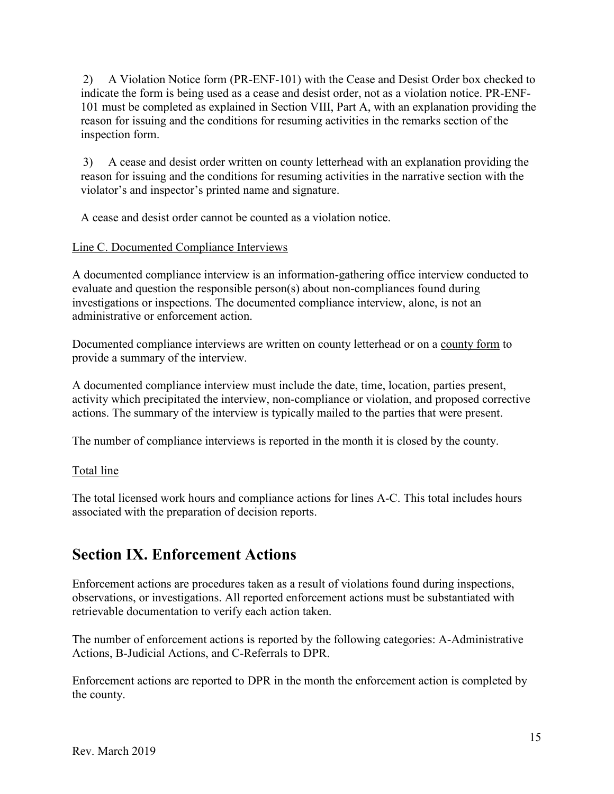2) A Violation Notice form (PR-ENF-101) with the Cease and Desist Order box checked to indicate the form is being used as a cease and desist order, not as a violation notice. PR-ENF-101 must be completed as explained in Section VIII, Part A, with an explanation providing the reason for issuing and the conditions for resuming activities in the remarks section of the inspection form.

3) A cease and desist order written on county letterhead with an explanation providing the reason for issuing and the conditions for resuming activities in the narrative section with the violator's and inspector's printed name and signature.

A cease and desist order cannot be counted as a violation notice.

#### Line C. Documented Compliance Interviews

A documented compliance interview is an information-gathering office interview conducted to evaluate and question the responsible person(s) about non-compliances found during investigations or inspections. The documented compliance interview, alone, is not an administrative or enforcement action.

Documented compliance interviews are written on county letterhead or on a county form to provide a summary of the interview.

A documented compliance interview must include the date, time, location, parties present, activity which precipitated the interview, non-compliance or violation, and proposed corrective actions. The summary of the interview is typically mailed to the parties that were present.

The number of compliance interviews is reported in the month it is closed by the county.

#### Total line

The total licensed work hours and compliance actions for lines A-C. This total includes hours associated with the preparation of decision reports.

### **Section IX. Enforcement Actions**

Enforcement actions are procedures taken as a result of violations found during inspections, observations, or investigations. All reported enforcement actions must be substantiated with retrievable documentation to verify each action taken.

The number of enforcement actions is reported by the following categories: A-Administrative Actions, B-Judicial Actions, and C-Referrals to DPR.

Enforcement actions are reported to DPR in the month the enforcement action is completed by the county.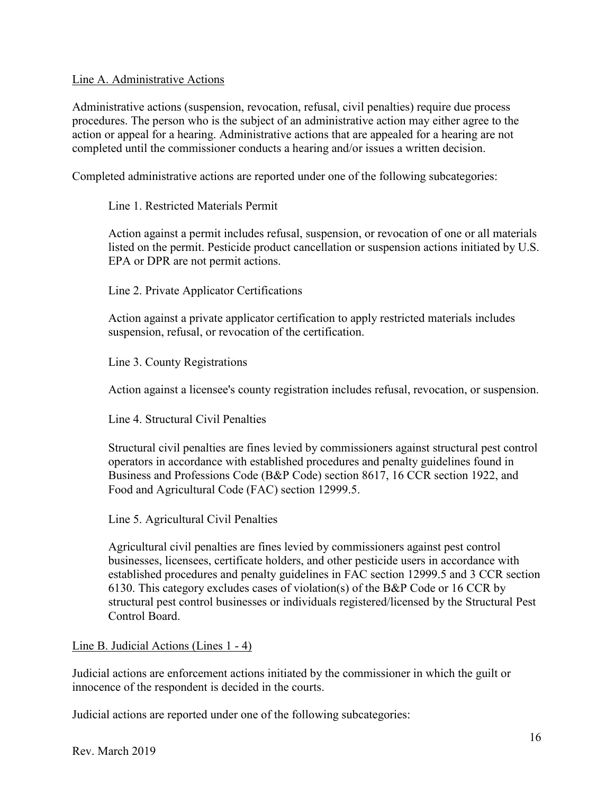#### Line A. Administrative Actions

 action or appeal for a hearing. Administrative actions that are appealed for a hearing are not Administrative actions (suspension, revocation, refusal, civil penalties) require due process procedures. The person who is the subject of an administrative action may either agree to the completed until the commissioner conducts a hearing and/or issues a written decision.

Completed administrative actions are reported under one of the following subcategories:

#### Line 1. Restricted Materials Permit

 Action against a permit includes refusal, suspension, or revocation of one or all materials listed on the permit. Pesticide product cancellation or suspension actions initiated by U.S. EPA or DPR are not permit actions.

Line 2. Private Applicator Certifications

Action against a private applicator certification to apply restricted materials includes suspension, refusal, or revocation of the certification.

Line 3. County Registrations

Action against a licensee's county registration includes refusal, revocation, or suspension.

Line 4. Structural Civil Penalties

Structural civil penalties are fines levied by commissioners against structural pest control operators in accordance with established procedures and penalty guidelines found in Business and Professions Code (B&P Code) section 8617, 16 CCR section 1922, and Food and Agricultural Code (FAC) section 12999.5.

Line 5. Agricultural Civil Penalties

Agricultural civil penalties are fines levied by commissioners against pest control businesses, licensees, certificate holders, and other pesticide users in accordance with established procedures and penalty guidelines in FAC section 12999.5 and 3 CCR section 6130. This category excludes cases of violation(s) of the B&P Code or 16 CCR by structural pest control businesses or individuals registered/licensed by the Structural Pest Control Board.

#### Line B. Judicial Actions (Lines 1 - 4)

Judicial actions are enforcement actions initiated by the commissioner in which the guilt or innocence of the respondent is decided in the courts.

Judicial actions are reported under one of the following subcategories: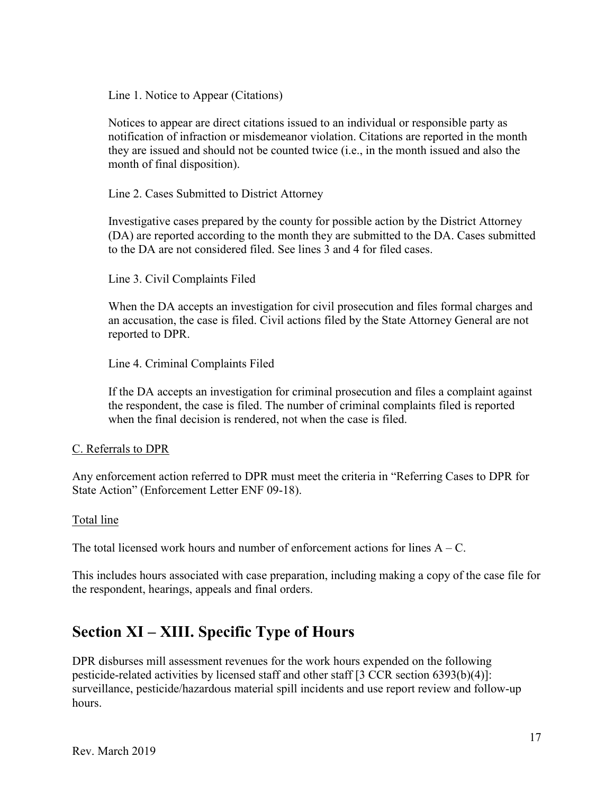Line 1. Notice to Appear (Citations)

Notices to appear are direct citations issued to an individual or responsible party as notification of infraction or misdemeanor violation. Citations are reported in the month they are issued and should not be counted twice (i.e., in the month issued and also the month of final disposition).

Line 2. Cases Submitted to District Attorney

Investigative cases prepared by the county for possible action by the District Attorney (DA) are reported according to the month they are submitted to the DA. Cases submitted to the DA are not considered filed. See lines 3 and 4 for filed cases.

Line 3. Civil Complaints Filed

When the DA accepts an investigation for civil prosecution and files formal charges and an accusation, the case is filed. Civil actions filed by the State Attorney General are not reported to DPR.

Line 4. Criminal Complaints Filed

If the DA accepts an investigation for criminal prosecution and files a complaint against the respondent, the case is filed. The number of criminal complaints filed is reported when the final decision is rendered, not when the case is filed.

#### C. Referrals to DPR

 State Action" (Enforcement Letter ENF 09-18). Any enforcement action referred to DPR must meet the criteria in "Referring Cases to DPR for

#### Total line

The total licensed work hours and number of enforcement actions for lines  $A - C$ .

This includes hours associated with case preparation, including making a copy of the case file for the respondent, hearings, appeals and final orders.

### **Section XI – XIII. Specific Type of Hours**

DPR disburses mill assessment revenues for the work hours expended on the following pesticide-related activities by licensed staff and other staff [3 CCR section 6393(b)(4)]: surveillance, pesticide/hazardous material spill incidents and use report review and follow-up hours.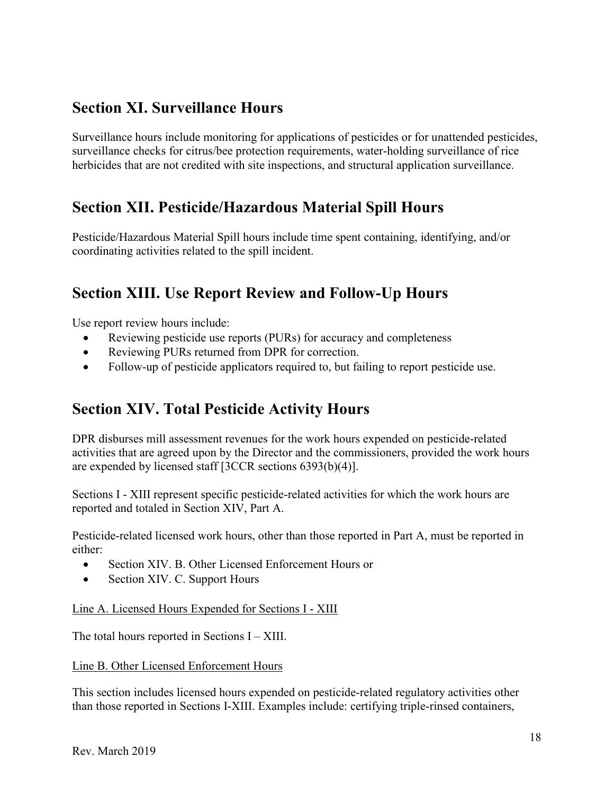### **Section XI. Surveillance Hours**

Surveillance hours include monitoring for applications of pesticides or for unattended pesticides, surveillance checks for citrus/bee protection requirements, water-holding surveillance of rice herbicides that are not credited with site inspections, and structural application surveillance.

### **Section XII. Pesticide/Hazardous Material Spill Hours**

Pesticide/Hazardous Material Spill hours include time spent containing, identifying, and/or coordinating activities related to the spill incident.

### **Section XIII. Use Report Review and Follow-Up Hours**

Use report review hours include:

- $\bullet$ Reviewing pesticide use reports (PURs) for accuracy and completeness
- Reviewing PURs returned from DPR for correction.
- Follow-up of pesticide applicators required to, but failing to report pesticide use.

### **Section XIV. Total Pesticide Activity Hours**

DPR disburses mill assessment revenues for the work hours expended on pesticide-related activities that are agreed upon by the Director and the commissioners, provided the work hours are expended by licensed staff [3CCR sections 6393(b)(4)].

 Sections I - XIII represent specific pesticide-related activities for which the work hours are reported and totaled in Section XIV, Part A.

Pesticide-related licensed work hours, other than those reported in Part A, must be reported in either:

- Section XIV. B. Other Licensed Enforcement Hours or
- Section XIV. C. Support Hours

Line A. Licensed Hours Expended for Sections I - XIII

The total hours reported in Sections I – XIII.

#### Line B. Other Licensed Enforcement Hours

This section includes licensed hours expended on pesticide-related regulatory activities other than those reported in Sections I-XIII. Examples include: certifying triple-rinsed containers,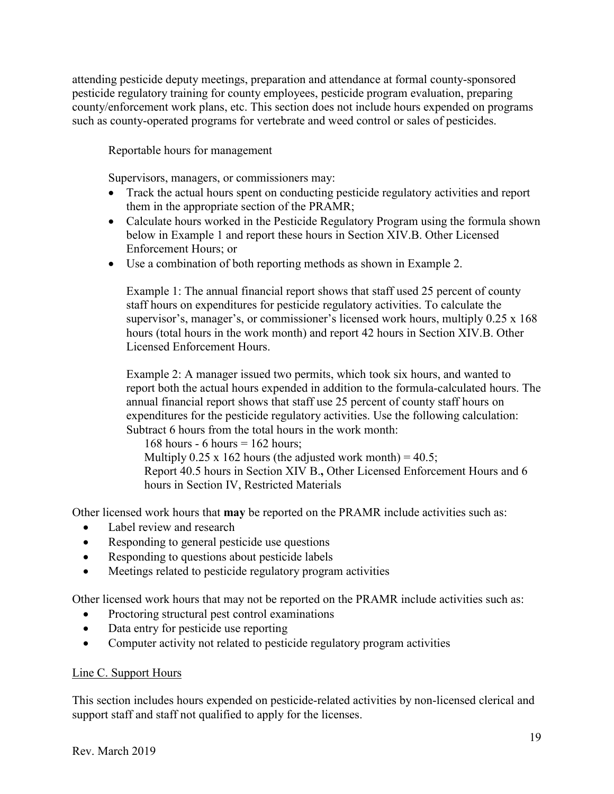attending pesticide deputy meetings, preparation and attendance at formal county-sponsored pesticide regulatory training for county employees, pesticide program evaluation, preparing county/enforcement work plans, etc. This section does not include hours expended on programs such as county-operated programs for vertebrate and weed control or sales of pesticides.

Reportable hours for management

Supervisors, managers, or commissioners may:

- Track the actual hours spent on conducting pesticide regulatory activities and report them in the appropriate section of the PRAMR;
- Calculate hours worked in the Pesticide Regulatory Program using the formula shown below in Example 1 and report these hours in Section XIV.B. Other Licensed Enforcement Hours; or
- Use a combination of both reporting methods as shown in Example 2.

 Example 1: The annual financial report shows that staff used 25 percent of county staff hours on expenditures for pesticide regulatory activities. To calculate the Licensed Enforcement Hours. supervisor's, manager's, or commissioner's licensed work hours, multiply 0.25 x 168 hours (total hours in the work month) and report 42 hours in Section XIV.B. Other

Example 2: A manager issued two permits, which took six hours, and wanted to report both the actual hours expended in addition to the formula-calculated hours. The annual financial report shows that staff use 25 percent of county staff hours on expenditures for the pesticide regulatory activities. Use the following calculation: Subtract 6 hours from the total hours in the work month:

168 hours - 6 hours  $= 162$  hours; Report 40.5 hours in Section XIV B.**,** Other Licensed Enforcement Hours and 6 Multiply  $0.25 \times 162$  hours (the adjusted work month) = 40.5; hours in Section IV, Restricted Materials

Other licensed work hours that **may** be reported on the PRAMR include activities such as:

- Label review and research
- $\bullet$ Responding to general pesticide use questions
- $\bullet$ Responding to questions about pesticide labels
- Meetings related to pesticide regulatory program activities

Other licensed work hours that may not be reported on the PRAMR include activities such as:

- $\bullet$ Proctoring structural pest control examinations
- Data entry for pesticide use reporting
- Computer activity not related to pesticide regulatory program activities

#### Line C. Support Hours

This section includes hours expended on pesticide-related activities by non-licensed clerical and support staff and staff not qualified to apply for the licenses.